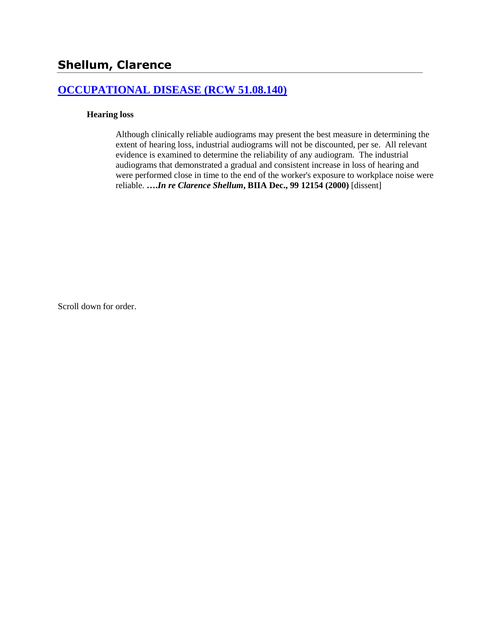# **[OCCUPATIONAL DISEASE \(RCW 51.08.140\)](http://www.biia.wa.gov/SDSubjectIndex.html#OCCUPATIONAL_DISEASE)**

#### **Hearing loss**

Although clinically reliable audiograms may present the best measure in determining the extent of hearing loss, industrial audiograms will not be discounted, per se. All relevant evidence is examined to determine the reliability of any audiogram. The industrial audiograms that demonstrated a gradual and consistent increase in loss of hearing and were performed close in time to the end of the worker's exposure to workplace noise were reliable. **….***In re Clarence Shellum***, BIIA Dec., 99 12154 (2000)** [dissent]

Scroll down for order.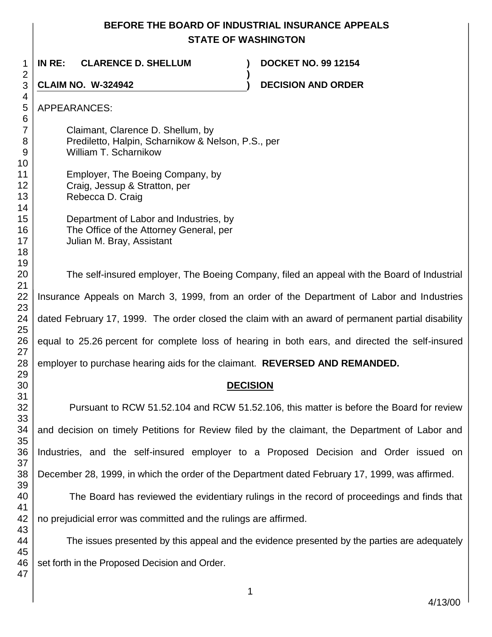## **BEFORE THE BOARD OF INDUSTRIAL INSURANCE APPEALS STATE OF WASHINGTON**

**)**

**IN RE: CLARENCE D. SHELLUM ) DOCKET NO. 99 12154**

**CLAIM NO. W-324942 ) DECISION AND ORDER** 

| Claimant, Clarence D. Shellum, by<br>Prediletto, Halpin, Scharnikow & Nelson, P.S., per<br>William T. Scharnikow |  |  |
|------------------------------------------------------------------------------------------------------------------|--|--|
| Employer, The Boeing Company, by<br>Craig, Jessup & Stratton, per<br>Rebecca D. Craig                            |  |  |
| Department of Labor and Industries, by<br>The Office of the Attorney General, per<br>Julian M. Bray, Assistant   |  |  |
| The self-insured employer, The Boeing Company, filed an appeal with the Board of Industrial                      |  |  |
| Insurance Appeals on March 3, 1999, from an order of the Department of Labor and Industries                      |  |  |
| dated February 17, 1999. The order closed the claim with an award of permanent partial disability                |  |  |
| equal to 25.26 percent for complete loss of hearing in both ears, and directed the self-insured                  |  |  |
| employer to purchase hearing aids for the claimant. REVERSED AND REMANDED.                                       |  |  |
| <b>DECISION</b>                                                                                                  |  |  |
| Pursuant to RCW 51.52.104 and RCW 51.52.106, this matter is before the Board for review                          |  |  |
| and decision on timely Petitions for Review filed by the claimant, the Department of Labor and                   |  |  |
| Industries, and the self-insured employer to a Proposed Decision and Order issued on                             |  |  |
| December 28, 1999, in which the order of the Department dated February 17, 1999, was affirmed.                   |  |  |
| The Board has reviewed the evidentiary rulings in the record of proceedings and finds that                       |  |  |

no prejudicial error was committed and the rulings are affirmed.

The issues presented by this appeal and the evidence presented by the parties are adequately set forth in the Proposed Decision and Order.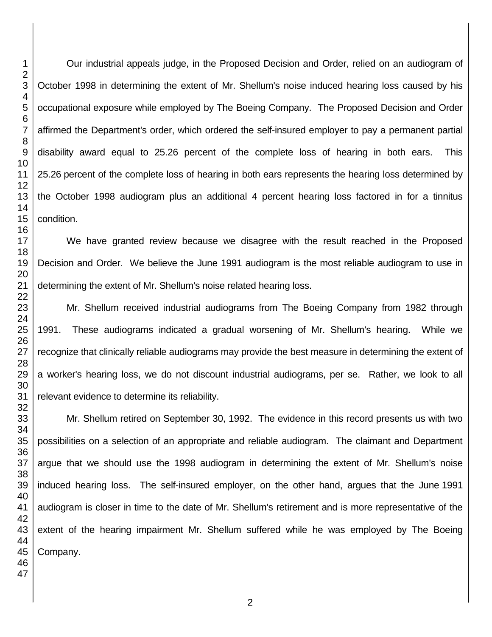Our industrial appeals judge, in the Proposed Decision and Order, relied on an audiogram of October 1998 in determining the extent of Mr. Shellum's noise induced hearing loss caused by his occupational exposure while employed by The Boeing Company. The Proposed Decision and Order affirmed the Department's order, which ordered the self-insured employer to pay a permanent partial disability award equal to 25.26 percent of the complete loss of hearing in both ears. This 25.26 percent of the complete loss of hearing in both ears represents the hearing loss determined by the October 1998 audiogram plus an additional 4 percent hearing loss factored in for a tinnitus condition.

We have granted review because we disagree with the result reached in the Proposed Decision and Order. We believe the June 1991 audiogram is the most reliable audiogram to use in determining the extent of Mr. Shellum's noise related hearing loss.

Mr. Shellum received industrial audiograms from The Boeing Company from 1982 through 1991. These audiograms indicated a gradual worsening of Mr. Shellum's hearing. While we recognize that clinically reliable audiograms may provide the best measure in determining the extent of a worker's hearing loss, we do not discount industrial audiograms, per se. Rather, we look to all relevant evidence to determine its reliability.

Mr. Shellum retired on September 30, 1992. The evidence in this record presents us with two possibilities on a selection of an appropriate and reliable audiogram. The claimant and Department argue that we should use the 1998 audiogram in determining the extent of Mr. Shellum's noise induced hearing loss. The self-insured employer, on the other hand, argues that the June 1991 audiogram is closer in time to the date of Mr. Shellum's retirement and is more representative of the extent of the hearing impairment Mr. Shellum suffered while he was employed by The Boeing Company.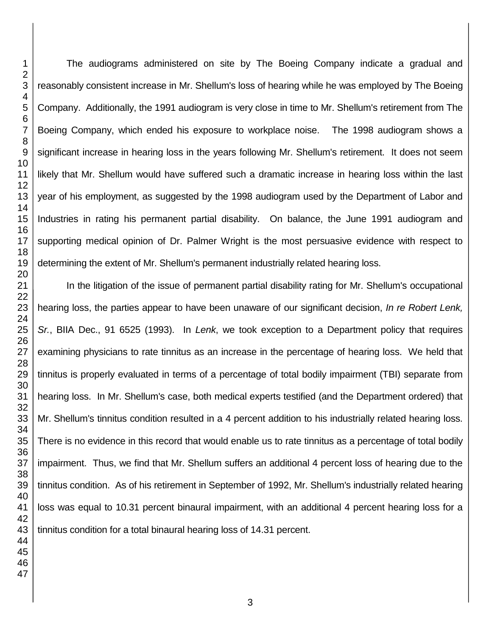The audiograms administered on site by The Boeing Company indicate a gradual and reasonably consistent increase in Mr. Shellum's loss of hearing while he was employed by The Boeing Company. Additionally, the 1991 audiogram is very close in time to Mr. Shellum's retirement from The Boeing Company, which ended his exposure to workplace noise. The 1998 audiogram shows a significant increase in hearing loss in the years following Mr. Shellum's retirement. It does not seem likely that Mr. Shellum would have suffered such a dramatic increase in hearing loss within the last year of his employment, as suggested by the 1998 audiogram used by the Department of Labor and Industries in rating his permanent partial disability. On balance, the June 1991 audiogram and supporting medical opinion of Dr. Palmer Wright is the most persuasive evidence with respect to determining the extent of Mr. Shellum's permanent industrially related hearing loss.

In the litigation of the issue of permanent partial disability rating for Mr. Shellum's occupational hearing loss, the parties appear to have been unaware of our significant decision, *In re Robert Lenk, Sr.*, BIIA Dec., 91 6525 (1993). In *Lenk*, we took exception to a Department policy that requires examining physicians to rate tinnitus as an increase in the percentage of hearing loss. We held that tinnitus is properly evaluated in terms of a percentage of total bodily impairment (TBI) separate from hearing loss. In Mr. Shellum's case, both medical experts testified (and the Department ordered) that Mr. Shellum's tinnitus condition resulted in a 4 percent addition to his industrially related hearing loss. There is no evidence in this record that would enable us to rate tinnitus as a percentage of total bodily impairment. Thus, we find that Mr. Shellum suffers an additional 4 percent loss of hearing due to the tinnitus condition. As of his retirement in September of 1992, Mr. Shellum's industrially related hearing loss was equal to 10.31 percent binaural impairment, with an additional 4 percent hearing loss for a tinnitus condition for a total binaural hearing loss of 14.31 percent.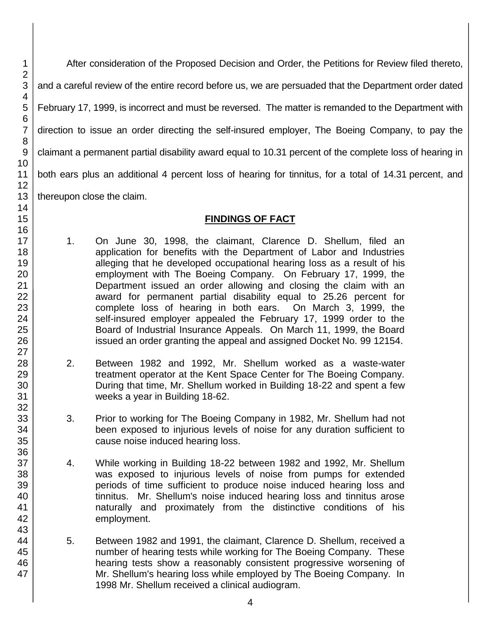After consideration of the Proposed Decision and Order, the Petitions for Review filed thereto, and a careful review of the entire record before us, we are persuaded that the Department order dated February 17, 1999, is incorrect and must be reversed. The matter is remanded to the Department with direction to issue an order directing the self-insured employer, The Boeing Company, to pay the claimant a permanent partial disability award equal to 10.31 percent of the complete loss of hearing in both ears plus an additional 4 percent loss of hearing for tinnitus, for a total of 14.31 percent, and thereupon close the claim.

# **FINDINGS OF FACT**

- 1. On June 30, 1998, the claimant, Clarence D. Shellum, filed an application for benefits with the Department of Labor and Industries alleging that he developed occupational hearing loss as a result of his employment with The Boeing Company. On February 17, 1999, the Department issued an order allowing and closing the claim with an award for permanent partial disability equal to 25.26 percent for complete loss of hearing in both ears. On March 3, 1999, the self-insured employer appealed the February 17, 1999 order to the Board of Industrial Insurance Appeals. On March 11, 1999, the Board issued an order granting the appeal and assigned Docket No. 99 12154.
- 2. Between 1982 and 1992, Mr. Shellum worked as a waste-water treatment operator at the Kent Space Center for The Boeing Company. During that time, Mr. Shellum worked in Building 18-22 and spent a few weeks a year in Building 18-62.
- 3. Prior to working for The Boeing Company in 1982, Mr. Shellum had not been exposed to injurious levels of noise for any duration sufficient to cause noise induced hearing loss.
- 4. While working in Building 18-22 between 1982 and 1992, Mr. Shellum was exposed to injurious levels of noise from pumps for extended periods of time sufficient to produce noise induced hearing loss and tinnitus. Mr. Shellum's noise induced hearing loss and tinnitus arose naturally and proximately from the distinctive conditions of his employment.
- 5. Between 1982 and 1991, the claimant, Clarence D. Shellum, received a number of hearing tests while working for The Boeing Company. These hearing tests show a reasonably consistent progressive worsening of Mr. Shellum's hearing loss while employed by The Boeing Company. In 1998 Mr. Shellum received a clinical audiogram.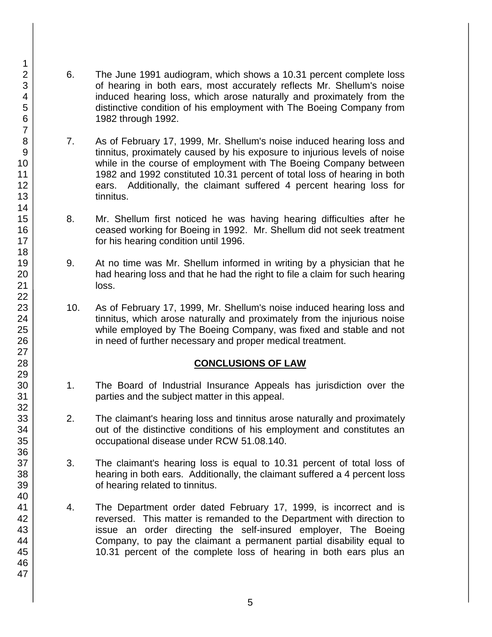- 6. The June 1991 audiogram, which shows a 10.31 percent complete loss of hearing in both ears, most accurately reflects Mr. Shellum's noise induced hearing loss, which arose naturally and proximately from the distinctive condition of his employment with The Boeing Company from 1982 through 1992.
- 7. As of February 17, 1999, Mr. Shellum's noise induced hearing loss and tinnitus, proximately caused by his exposure to injurious levels of noise while in the course of employment with The Boeing Company between 1982 and 1992 constituted 10.31 percent of total loss of hearing in both ears. Additionally, the claimant suffered 4 percent hearing loss for tinnitus.
- 8. Mr. Shellum first noticed he was having hearing difficulties after he ceased working for Boeing in 1992. Mr. Shellum did not seek treatment for his hearing condition until 1996.
- 9. At no time was Mr. Shellum informed in writing by a physician that he had hearing loss and that he had the right to file a claim for such hearing loss.
- 10. As of February 17, 1999, Mr. Shellum's noise induced hearing loss and tinnitus, which arose naturally and proximately from the injurious noise while employed by The Boeing Company, was fixed and stable and not in need of further necessary and proper medical treatment.

## **CONCLUSIONS OF LAW**

- 1. The Board of Industrial Insurance Appeals has jurisdiction over the parties and the subject matter in this appeal.
- 2. The claimant's hearing loss and tinnitus arose naturally and proximately out of the distinctive conditions of his employment and constitutes an occupational disease under RCW 51.08.140.
- 3. The claimant's hearing loss is equal to 10.31 percent of total loss of hearing in both ears. Additionally, the claimant suffered a 4 percent loss of hearing related to tinnitus.
- 4. The Department order dated February 17, 1999, is incorrect and is reversed. This matter is remanded to the Department with direction to issue an order directing the self-insured employer, The Boeing Company, to pay the claimant a permanent partial disability equal to 10.31 percent of the complete loss of hearing in both ears plus an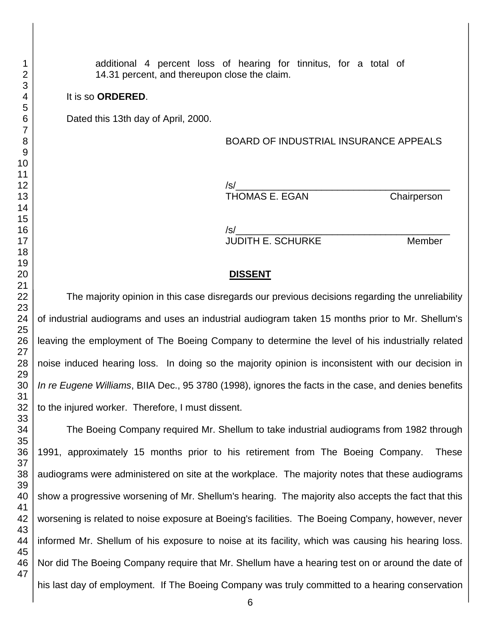### It is so **ORDERED**.

Dated this 13th day of April, 2000.

### BOARD OF INDUSTRIAL INSURANCE APPEALS

/s/\_\_\_\_\_\_\_\_\_\_\_\_\_\_\_\_\_\_\_\_\_\_\_\_\_\_\_\_\_\_\_\_\_\_\_\_\_\_\_\_ THOMAS E. EGAN Chairperson

/s/\_\_\_\_\_\_\_\_\_\_\_\_\_\_\_\_\_\_\_\_\_\_\_\_\_\_\_\_\_\_\_\_\_\_\_\_\_\_\_\_ JUDITH E. SCHURKE Member

### **DISSENT**

The majority opinion in this case disregards our previous decisions regarding the unreliability of industrial audiograms and uses an industrial audiogram taken 15 months prior to Mr. Shellum's leaving the employment of The Boeing Company to determine the level of his industrially related noise induced hearing loss. In doing so the majority opinion is inconsistent with our decision in *In re Eugene Williams*, BIIA Dec., 95 3780 (1998), ignores the facts in the case, and denies benefits to the injured worker. Therefore, I must dissent.

The Boeing Company required Mr. Shellum to take industrial audiograms from 1982 through 1991, approximately 15 months prior to his retirement from The Boeing Company. These audiograms were administered on site at the workplace. The majority notes that these audiograms show a progressive worsening of Mr. Shellum's hearing. The majority also accepts the fact that this worsening is related to noise exposure at Boeing's facilities. The Boeing Company, however, never informed Mr. Shellum of his exposure to noise at its facility, which was causing his hearing loss. Nor did The Boeing Company require that Mr. Shellum have a hearing test on or around the date of his last day of employment. If The Boeing Company was truly committed to a hearing conservation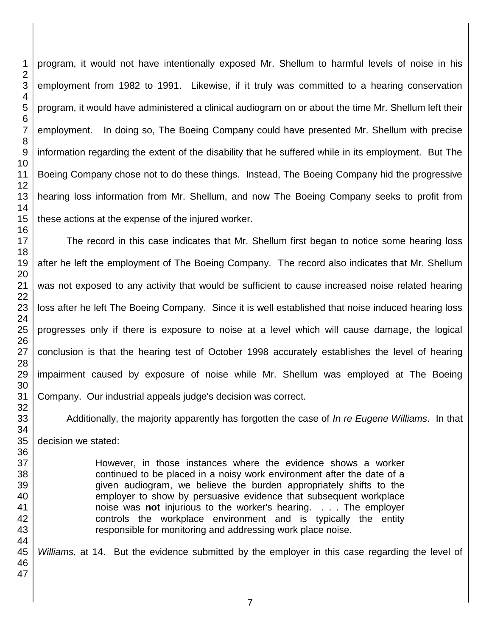program, it would not have intentionally exposed Mr. Shellum to harmful levels of noise in his employment from 1982 to 1991. Likewise, if it truly was committed to a hearing conservation program, it would have administered a clinical audiogram on or about the time Mr. Shellum left their employment. In doing so, The Boeing Company could have presented Mr. Shellum with precise information regarding the extent of the disability that he suffered while in its employment. But The Boeing Company chose not to do these things. Instead, The Boeing Company hid the progressive hearing loss information from Mr. Shellum, and now The Boeing Company seeks to profit from these actions at the expense of the injured worker.

The record in this case indicates that Mr. Shellum first began to notice some hearing loss after he left the employment of The Boeing Company. The record also indicates that Mr. Shellum was not exposed to any activity that would be sufficient to cause increased noise related hearing loss after he left The Boeing Company. Since it is well established that noise induced hearing loss progresses only if there is exposure to noise at a level which will cause damage, the logical conclusion is that the hearing test of October 1998 accurately establishes the level of hearing impairment caused by exposure of noise while Mr. Shellum was employed at The Boeing Company. Our industrial appeals judge's decision was correct.

Additionally, the majority apparently has forgotten the case of *In re Eugene Williams*. In that decision we stated:

> However, in those instances where the evidence shows a worker continued to be placed in a noisy work environment after the date of a given audiogram, we believe the burden appropriately shifts to the employer to show by persuasive evidence that subsequent workplace noise was **not** injurious to the worker's hearing. . . . The employer controls the workplace environment and is typically the entity responsible for monitoring and addressing work place noise.

*Williams*, at 14. But the evidence submitted by the employer in this case regarding the level of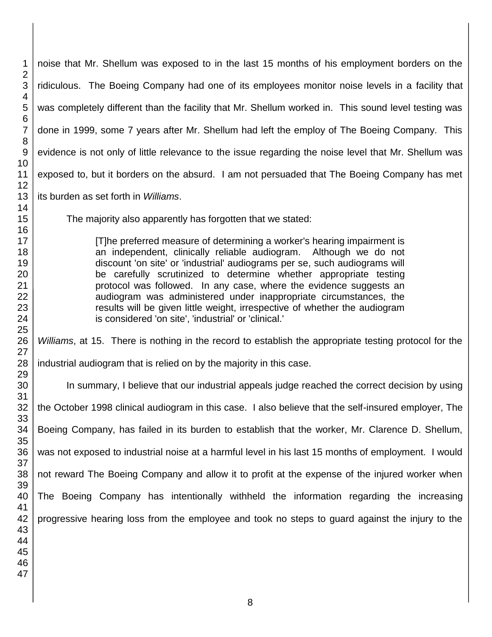noise that Mr. Shellum was exposed to in the last 15 months of his employment borders on the ridiculous. The Boeing Company had one of its employees monitor noise levels in a facility that was completely different than the facility that Mr. Shellum worked in. This sound level testing was done in 1999, some 7 years after Mr. Shellum had left the employ of The Boeing Company. This evidence is not only of little relevance to the issue regarding the noise level that Mr. Shellum was exposed to, but it borders on the absurd. I am not persuaded that The Boeing Company has met its burden as set forth in *Williams*. The majority also apparently has forgotten that we stated:

> [T]he preferred measure of determining a worker's hearing impairment is an independent, clinically reliable audiogram. Although we do not discount 'on site' or 'industrial' audiograms per se, such audiograms will be carefully scrutinized to determine whether appropriate testing protocol was followed. In any case, where the evidence suggests an audiogram was administered under inappropriate circumstances, the results will be given little weight, irrespective of whether the audiogram is considered 'on site', 'industrial' or 'clinical.'

*Williams*, at 15. There is nothing in the record to establish the appropriate testing protocol for the industrial audiogram that is relied on by the majority in this case.

In summary, I believe that our industrial appeals judge reached the correct decision by using the October 1998 clinical audiogram in this case. I also believe that the self-insured employer, The Boeing Company, has failed in its burden to establish that the worker, Mr. Clarence D. Shellum, was not exposed to industrial noise at a harmful level in his last 15 months of employment. I would not reward The Boeing Company and allow it to profit at the expense of the injured worker when The Boeing Company has intentionally withheld the information regarding the increasing progressive hearing loss from the employee and took no steps to guard against the injury to the